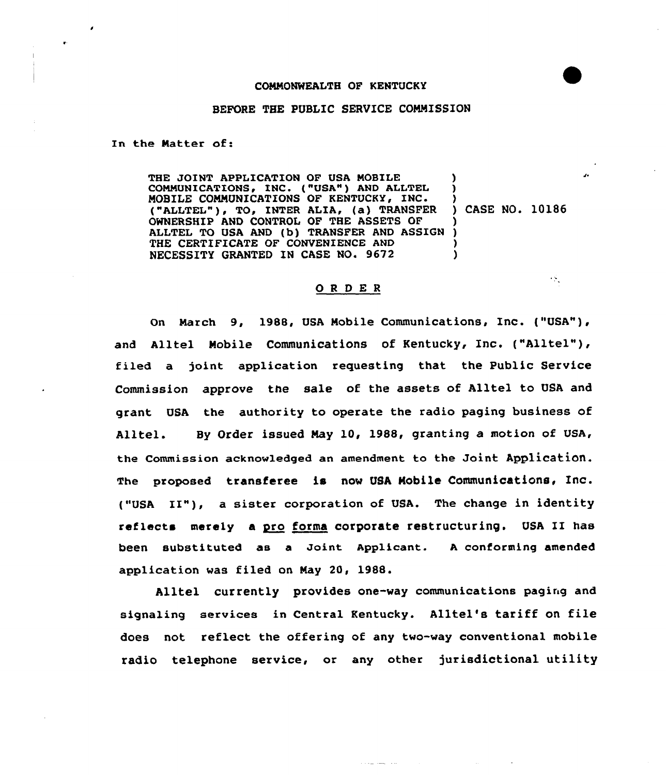## COMMONWEALTH OF KENTUCKY

## BEFORE THE PUBLIC SERVICE COMMISSION

In the Natter of:

THE JOINT APPLICATION OF USA MOBILE COMMUNICATIONS, INC. ("USA") AND ALLTEL MOBILE COMNUNICATIQNS OF KENTUCKY, INC. ("ALLTEL"), TO, INTER ALIA, (a) TRANSFER ) CASE NO. 10186 OWNERSHIP AND CONTROL OF THE ASSETS OF OWNERSHIP AND CONTROL OF THE ASSETS OF (1)<br>ALLTEL TO USA AND (b) TRANSFER AND ASSIGN (1)<br>THE CORPORATION OF CONTINUES AND ASSIGN (1) THE CERTIFICATE OF CONVENIENCE AND NECESSITY GRANTED IN CASE NO. 9672 ) ) ) ) )

## ORDER

 $\mathcal{F}_{\mathcal{A}}$ 

On March 9, 1988, USA Mobile Communications, Inc. ("USA"), and Alltel Mobile Communications of Kentucky, Inc. ("Alltel"), filed a joint application reguesting that the Public Service Commission approve the sale of the assets of Alltel to USA and grant USA the authority to operate the radio paging business of Alltel. By Order issued May 10, 1988, granting a motion of USA, the Commission acknowledged an amendment to the Joint Application. The proposed transferee is now USA Mobile Communications< Inc. ("USA II"), <sup>a</sup> sister corporation of USA. The change in identity reflects merely a pro forma corporate restructuring. USA II has been substituted as a Joint Applicant. <sup>A</sup> conforming amended application was filed on Nay 20, 1988.

Alltel currently provides one-way communications paging and signaling services in Central Kentucky. Alltel's tariff on file does not reflect the offering of any two-way conventional mobile radio telephone service, or any other jurisdictional utility